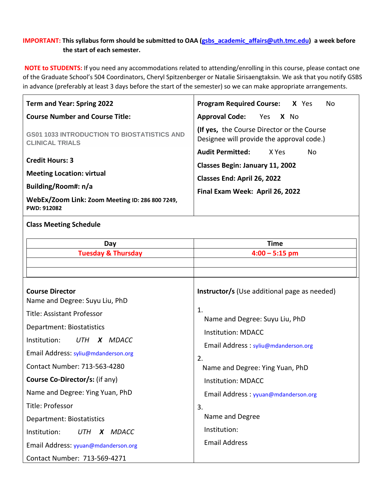## **IMPORTANT: This syllabus form should be submitted to OAA [\(gsbs\\_academic\\_affairs@uth.tmc.edu\)](mailto:gsbs_academic_affairs@uth.tmc.edu) a week before the start of each semester.**

**NOTE to STUDENTS:** If you need any accommodations related to attending/enrolling in this course, please contact one of the Graduate School's 504 Coordinators, Cheryl Spitzenberger or Natalie Sirisaengtaksin. We ask that you notify GSBS in advance (preferably at least 3 days before the start of the semester) so we can make appropriate arrangements.

| <b>Program Required Course:</b><br>X Yes<br>No                                                                                                                                                                                                                                                                                                |  |  |
|-----------------------------------------------------------------------------------------------------------------------------------------------------------------------------------------------------------------------------------------------------------------------------------------------------------------------------------------------|--|--|
| <b>Approval Code:</b><br>Yes<br>X No                                                                                                                                                                                                                                                                                                          |  |  |
| (If yes, the Course Director or the Course<br>Designee will provide the approval code.)                                                                                                                                                                                                                                                       |  |  |
| <b>Audit Permitted:</b><br>X Yes<br>No<br><b>Classes Begin: January 11, 2002</b><br>Classes End: April 26, 2022<br>Final Exam Week: April 26, 2022<br><b>Time</b><br>$4:00 - 5:15$ pm                                                                                                                                                         |  |  |
| <b>Instructor/s</b> (Use additional page as needed)<br>1.<br>Name and Degree: Suyu Liu, PhD<br><b>Institution: MDACC</b><br>Email Address: syliu@mdanderson.org<br>2.<br>Name and Degree: Ying Yuan, PhD<br><b>Institution: MDACC</b><br>Email Address: yyuan@mdanderson.org<br>3.<br>Name and Degree<br>Institution:<br><b>Email Address</b> |  |  |
|                                                                                                                                                                                                                                                                                                                                               |  |  |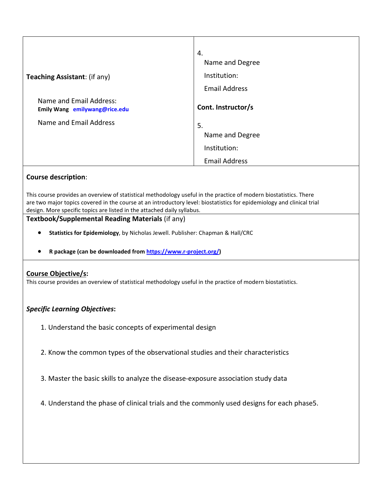|                                                          | 4.                   |
|----------------------------------------------------------|----------------------|
|                                                          | Name and Degree      |
| Teaching Assistant: (if any)                             | Institution:         |
|                                                          | <b>Email Address</b> |
| Name and Email Address:<br>Emily Wang emilywang@rice.edu | Cont. Instructor/s   |
| Name and Email Address                                   | 5.                   |
|                                                          | Name and Degree      |
|                                                          | Institution:         |
|                                                          | <b>Email Address</b> |

# **Course description**:

This course provides an overview of statistical methodology useful in the practice of modern biostatistics. There are two major topics covered in the course at an introductory level: biostatistics for epidemiology and clinical trial design. More specific topics are listed in the attached daily syllabus.

# **Textbook/Supplemental Reading Materials** (if any)

- **Statistics for Epidemiology**, by Nicholas Jewell. Publisher: Chapman & Hall/CRC
- **R package (can be downloaded from [https://www.r-project.org/\)](https://www.r-project.org/)**

### **Course Objective/s:**

This course provides an overview of statistical methodology useful in the practice of modern biostatistics.

### *Specific Learning Objectives***:**

- 1. Understand the basic concepts of experimental design
- 2. Know the common types of the observational studies and their characteristics
- 3. Master the basic skills to analyze the disease-exposure association study data
- 4. Understand the phase of clinical trials and the commonly used designs for each phase5.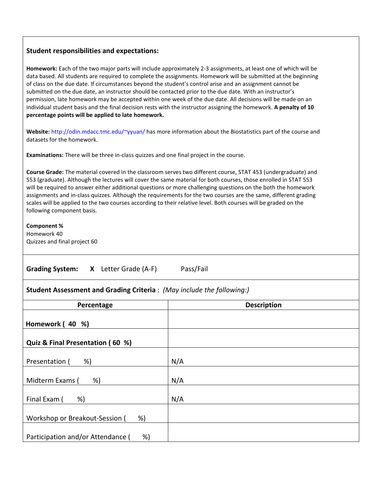#### **Student responsibilities and expectations:**

**Homework:** Each of the two major parts will include approximately 2-3 assignments, at least one of which will be data based. All students are required to complete the assignments. Homework will be submitted at the beginning of class on the due date. If circumstances beyond the student's control arise and an assignment cannot be submitted on the due date, an instructor should be contacted prior to the due date. With an instructor's permission, late homework may be accepted within one week of the due date. All decisions will be made on an individual student basis and the final decision rests with the instructor assigning the homework. **A penalty of 10 percentage points will be applied to late homework.**

**Website:** http://odin.mdacc.tmc.edu/~yyuan/ has more information about the Biostatistics part of the course and datasets for the homework.

**Examinations:** There will be three in-class quizzes and one final project in the course.

**Course Grade:** The material covered in the classroom serves two different course, STAT 453 (undergraduate) and 553 (graduate). Although the lectures will cover the same material for both courses, those enrolled in STAT 553 will be required to answer either additional questions or more challenging questions on the both the homework assignments and in-class quizzes. Although the requirements for the two courses are the same, different grading scales will be applied to the two courses according to their relative level. Both courses will be graded on the following component basis.

**Component %** Homework 40 Quizzes and final project 60

| <b>Grading System:</b> |  | Letter Grade (A-F) | Pass/Fail |
|------------------------|--|--------------------|-----------|
|------------------------|--|--------------------|-----------|

#### **Student Assessment and Grading Criteria** : *(May include the following:)*

| Percentage                              | <b>Description</b> |
|-----------------------------------------|--------------------|
| Homework (40 %)                         |                    |
| Quiz & Final Presentation (60 %)        |                    |
| %)<br>Presentation (                    | N/A                |
| Midterm Exams (<br>%)                   | N/A                |
| Final Exam (<br>%)                      | N/A                |
| Workshop or Breakout-Session (<br>%)    |                    |
| Participation and/or Attendance (<br>%) |                    |